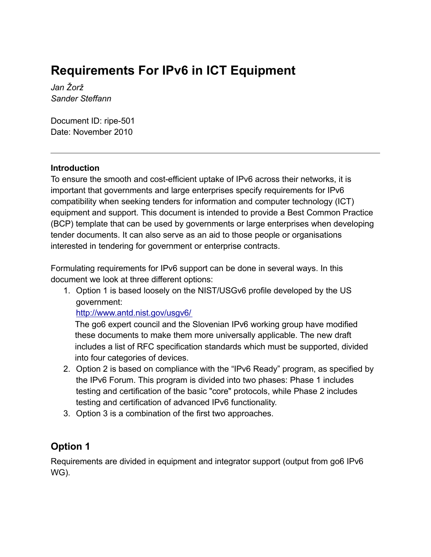# **Requirements For IPv6 in ICT Equipment**

*Jan Žorž Sander Steffann*

Document ID: ripe-501 Date: November 2010

#### **Introduction**

To ensure the smooth and cost-efficient uptake of IPv6 across their networks, it is important that governments and large enterprises specify requirements for IPv6 compatibility when seeking tenders for information and computer technology (ICT) equipment and support. This document is intended to provide a Best Common Practice (BCP) template that can be used by governments or large enterprises when developing tender documents. It can also serve as an aid to those people or organisations interested in tendering for government or enterprise contracts.

Formulating requirements for IPv6 support can be done in several ways. In this document we look at three different options:

1. Option 1 is based loosely on the NIST/USGv6 profile developed by the US government:

### <http://www.antd.nist.gov/usgv6/>

The go6 expert council and the Slovenian IPv6 working group have modified these documents to make them more universally applicable. The new draft includes a list of RFC specification standards which must be supported, divided into four categories of devices.

- 2. Option 2 is based on compliance with the "IPv6 Ready" program, as specified by the IPv6 Forum. This program is divided into two phases: Phase 1 includes testing and certification of the basic "core" protocols, while Phase 2 includes testing and certification of advanced IPv6 functionality.
- 3. Option 3 is a combination of the first two approaches.

## **Option 1**

Requirements are divided in equipment and integrator support (output from go6 IPv6 WG).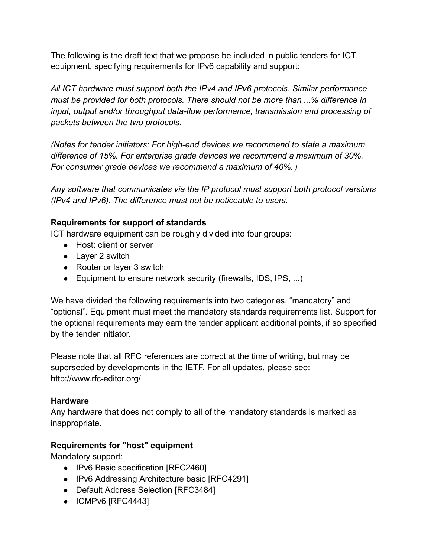The following is the draft text that we propose be included in public tenders for ICT equipment, specifying requirements for IPv6 capability and support:

*All ICT hardware must support both the IPv4 and IPv6 protocols. Similar performance must be provided for both protocols. There should not be more than ...% difference in input, output and/or throughput data-flow performance, transmission and processing of packets between the two protocols.*

*(Notes for tender initiators: For high-end devices we recommend to state a maximum difference of 15%. For enterprise grade devices we recommend a maximum of 30%. For consumer grade devices we recommend a maximum of 40%. )*

*Any software that communicates via the IP protocol must support both protocol versions (IPv4 and IPv6). The difference must not be noticeable to users.*

#### **Requirements for support of standards**

ICT hardware equipment can be roughly divided into four groups:

- Host: client or server
- Layer 2 switch
- Router or layer 3 switch
- Equipment to ensure network security (firewalls, IDS, IPS, ...)

We have divided the following requirements into two categories, "mandatory" and "optional". Equipment must meet the mandatory standards requirements list. Support for the optional requirements may earn the tender applicant additional points, if so specified by the tender initiator.

Please note that all RFC references are correct at the time of writing, but may be superseded by developments in the IETF. For all updates, please see: http://www.rfc-editor.org/

### **Hardware**

Any hardware that does not comply to all of the mandatory standards is marked as inappropriate.

### **Requirements for "host" equipment**

Mandatory support:

- IPv6 Basic specification [RFC2460]
- IPv6 Addressing Architecture basic [RFC4291]
- Default Address Selection [RFC3484]
- ICMPv6 [RFC4443]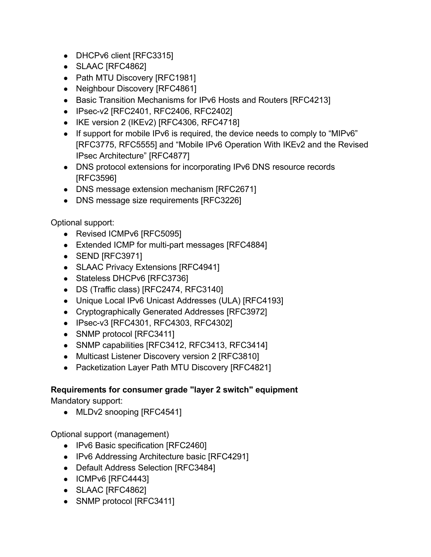- DHCPv6 client [RFC3315]
- SLAAC [RFC4862]
- Path MTU Discovery [RFC1981]
- Neighbour Discovery [RFC4861]
- Basic Transition Mechanisms for IPv6 Hosts and Routers [RFC4213]
- IPsec-v2 [RFC2401, RFC2406, RFC2402]
- IKE version 2 (IKEv2) [RFC4306, RFC4718]
- If support for mobile IPv6 is required, the device needs to comply to "MIPv6" [RFC3775, RFC5555] and "Mobile IPv6 Operation With IKEv2 and the Revised IPsec Architecture" [RFC4877]
- DNS protocol extensions for incorporating IPv6 DNS resource records [RFC3596]
- DNS message extension mechanism [RFC2671]
- DNS message size requirements [RFC3226]

Optional support:

- Revised ICMPv6 [RFC5095]
- Extended ICMP for multi-part messages [RFC4884]
- SEND [RFC3971]
- SLAAC Privacy Extensions [RFC4941]
- Stateless DHCPv6 [RFC3736]
- DS (Traffic class) [RFC2474, RFC3140]
- Unique Local IPv6 Unicast Addresses (ULA) [RFC4193]
- Cryptographically Generated Addresses [RFC3972]
- IPsec-v3 [RFC4301, RFC4303, RFC4302]
- SNMP protocol [RFC3411]
- SNMP capabilities [RFC3412, RFC3413, RFC3414]
- Multicast Listener Discovery version 2 [RFC3810]
- Packetization Layer Path MTU Discovery [RFC4821]

## **Requirements for consumer grade "layer 2 switch" equipment**

Mandatory support:

• MLDv2 snooping [RFC4541]

Optional support (management)

- IPv6 Basic specification [RFC2460]
- IPv6 Addressing Architecture basic [RFC4291]
- Default Address Selection [RFC3484]
- ICMPv6 [RFC4443]
- SLAAC [RFC4862]
- SNMP protocol [RFC3411]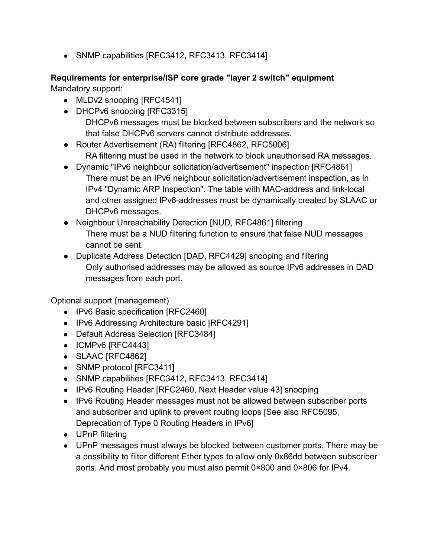• SNMP capabilities [RFC3412, RFC3413, RFC3414]

# **Requirements for enterprise/ISP core grade "layer 2 switch" equipment**

Mandatory support:

- MLDv2 snooping [RFC4541]
- **●** DHCPv6 snooping [RFC3315] DHCPv6 messages must be blocked between subscribers and the network so that false DHCPv6 servers cannot distribute addresses.
- **●** Router Advertisement (RA) filtering [RFC4862, RFC5006] RA filtering must be used in the network to block unauthorised RA messages.
- **●** Dynamic "IPv6 neighbour solicitation/advertisement" inspection [RFC4861] There must be an IPv6 neighbour solicitation/advertisement inspection, as in IPv4 "Dynamic ARP Inspection". The table with MAC-address and link-local and other assigned IPv6-addresses must be dynamically created by SLAAC or DHCPv6 messages.
- **●** Neighbour Unreachability Detection [NUD, RFC4861] filtering There must be a NUD filtering function to ensure that false NUD messages cannot be sent.
- **●** Duplicate Address Detection [DAD, RFC4429] snooping and filtering Only authorised addresses may be allowed as source IPv6 addresses in DAD messages from each port.

Optional support (management)

- IPv6 Basic specification [RFC2460]
- IPv6 Addressing Architecture basic [RFC4291]
- Default Address Selection [RFC3484]
- ICMPv6 [RFC4443]
- SLAAC [RFC4862]
- SNMP protocol [RFC3411]
- SNMP capabilities [RFC3412, RFC3413, RFC3414]
- IPv6 Routing Header [RFC2460, Next Header value 43] snooping
- IPv6 Routing Header messages must not be allowed between subscriber ports and subscriber and uplink to prevent routing loops [See also RFC5095, Deprecation of Type 0 Routing Headers in IPv6]
- UPnP filtering
- UPnP messages must always be blocked between customer ports. There may be a possibility to filter different Ether types to allow only 0x86dd between subscriber ports. And most probably you must also permit 0×800 and 0×806 for IPv4.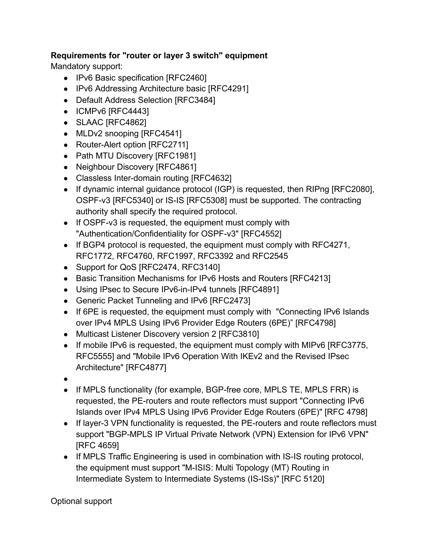### **Requirements for "router or layer 3 switch" equipment**

Mandatory support:

- IPv6 Basic specification [RFC2460]
- IPv6 Addressing Architecture basic [RFC4291]
- Default Address Selection [RFC3484]
- ICMPv6 [RFC4443]
- SLAAC [RFC4862]
- MLDv2 snooping [RFC4541]
- Router-Alert option [RFC2711]
- Path MTU Discovery [RFC1981]
- Neighbour Discovery [RFC4861]
- Classless Inter-domain routing [RFC4632]
- If dynamic internal guidance protocol (IGP) is requested, then RIPng [RFC2080], OSPF-v3 [RFC5340] or IS-IS [RFC5308] must be supported. The contracting authority shall specify the required protocol.
- If OSPF-v3 is requested, the equipment must comply with "Authentication/Confidentiality for OSPF-v3" [RFC4552]
- If BGP4 protocol is requested, the equipment must comply with RFC4271, RFC1772, RFC4760, RFC1997, RFC3392 and RFC2545
- Support for QoS [RFC2474, RFC3140]
- Basic Transition Mechanisms for IPv6 Hosts and Routers [RFC4213]
- Using IPsec to Secure IPv6-in-IPv4 tunnels [RFC4891]
- Generic Packet Tunneling and IPv6 [RFC2473]
- If 6PE is requested, the equipment must comply with "Connecting IPv6 Islands" over IPv4 MPLS Using IPv6 Provider Edge Routers (6PE)" [RFC4798]
- Multicast Listener Discovery version 2 [RFC3810]
- If mobile IPv6 is requested, the equipment must comply with MIPv6 [RFC3775, RFC5555] and "Mobile IPv6 Operation With IKEv2 and the Revised IPsec Architecture" [RFC4877]
- ●
- If MPLS functionality (for example, BGP-free core, MPLS TE, MPLS FRR) is requested, the PE-routers and route reflectors must support "Connecting IPv6 Islands over IPv4 MPLS Using IPv6 Provider Edge Routers (6PE)" [RFC 4798]
- If layer-3 VPN functionality is requested, the PE-routers and route reflectors must support "BGP-MPLS IP Virtual Private Network (VPN) Extension for IPv6 VPN" [RFC 4659]
- If MPLS Traffic Engineering is used in combination with IS-IS routing protocol, the equipment must support "M-ISIS: Multi Topology (MT) Routing in Intermediate System to Intermediate Systems (IS-ISs)" [RFC 5120]

Optional support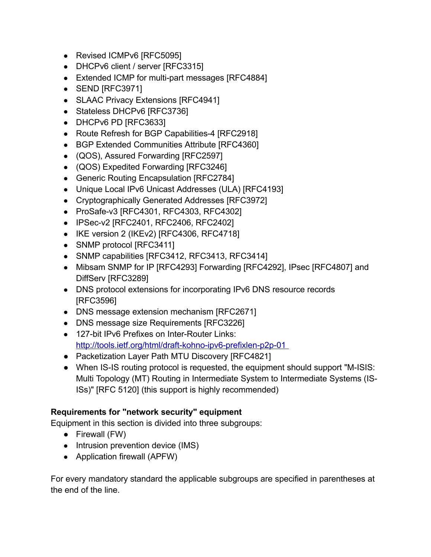- Revised ICMPv6 [RFC5095]
- DHCPv6 client / server [RFC3315]
- Extended ICMP for multi-part messages [RFC4884]
- SEND [RFC3971]
- SLAAC Privacy Extensions [RFC4941]
- Stateless DHCPv6 [RFC3736]
- DHCPv6 PD [RFC3633]
- Route Refresh for BGP Capabilities-4 [RFC2918]
- BGP Extended Communities Attribute [RFC4360]
- (QOS), Assured Forwarding [RFC2597]
- (QOS) Expedited Forwarding [RFC3246]
- Generic Routing Encapsulation [RFC2784]
- Unique Local IPv6 Unicast Addresses (ULA) [RFC4193]
- Cryptographically Generated Addresses [RFC3972]
- ProSafe-v3 [RFC4301, RFC4303, RFC4302]
- IPSec-v2 [RFC2401, RFC2406, RFC2402]
- IKE version 2 (IKEv2) [RFC4306, RFC4718]
- SNMP protocol [RFC3411]
- SNMP capabilities [RFC3412, RFC3413, RFC3414]
- Mibsam SNMP for IP [RFC4293] Forwarding [RFC4292], IPsec [RFC4807] and DiffServ [RFC3289]
- DNS protocol extensions for incorporating IPv6 DNS resource records [RFC3596]
- DNS message extension mechanism [RFC2671]
- DNS message size Requirements [RFC3226]
- 127-bit IPv6 Prefixes on Inter-Router Links: <http://tools.ietf.org/html/draft-kohno-ipv6-prefixlen-p2p-01>
- Packetization Layer Path MTU Discovery [RFC4821]
- When IS-IS routing protocol is requested, the equipment should support "M-ISIS: Multi Topology (MT) Routing in Intermediate System to Intermediate Systems (IS-ISs)" [RFC 5120] (this support is highly recommended)

### **Requirements for "network security" equipment**

Equipment in this section is divided into three subgroups:

- Firewall (FW)
- Intrusion prevention device (IMS)
- Application firewall (APFW)

For every mandatory standard the applicable subgroups are specified in parentheses at the end of the line.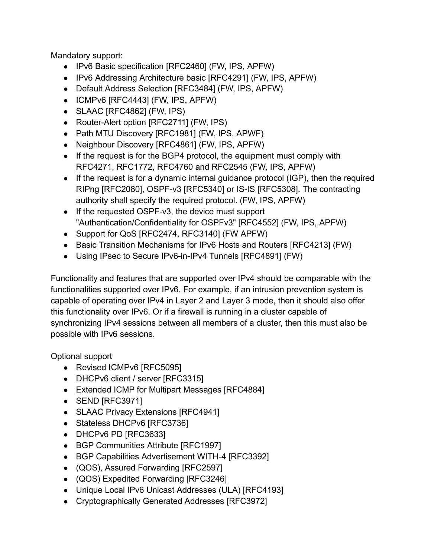Mandatory support:

- IPv6 Basic specification [RFC2460] (FW, IPS, APFW)
- IPv6 Addressing Architecture basic [RFC4291] (FW, IPS, APFW)
- Default Address Selection [RFC3484] (FW, IPS, APFW)
- ICMPv6 [RFC4443] (FW, IPS, APFW)
- SLAAC [RFC4862] (FW, IPS)
- Router-Alert option [RFC2711] (FW, IPS)
- Path MTU Discovery [RFC1981] (FW, IPS, APWF)
- Neighbour Discovery [RFC4861] (FW, IPS, APFW)
- If the request is for the BGP4 protocol, the equipment must comply with RFC4271, RFC1772, RFC4760 and RFC2545 (FW, IPS, APFW)
- If the request is for a dynamic internal guidance protocol (IGP), then the required RIPng [RFC2080], OSPF-v3 [RFC5340] or IS-IS [RFC5308]. The contracting authority shall specify the required protocol. (FW, IPS, APFW)
- If the requested OSPF-v3, the device must support "Authentication/Confidentiality for OSPFv3" [RFC4552] (FW, IPS, APFW)
- Support for QoS [RFC2474, RFC3140] (FW APFW)
- Basic Transition Mechanisms for IPv6 Hosts and Routers [RFC4213] (FW)
- Using IPsec to Secure IPv6-in-IPv4 Tunnels [RFC4891] (FW)

Functionality and features that are supported over IPv4 should be comparable with the functionalities supported over IPv6. For example, if an intrusion prevention system is capable of operating over IPv4 in Layer 2 and Layer 3 mode, then it should also offer this functionality over IPv6. Or if a firewall is running in a cluster capable of synchronizing IPv4 sessions between all members of a cluster, then this must also be possible with IPv6 sessions.

Optional support

- Revised ICMPv6 [RFC5095]
- DHCPv6 client / server [RFC3315]
- Extended ICMP for Multipart Messages [RFC4884]
- SEND [RFC3971]
- SLAAC Privacy Extensions [RFC4941]
- Stateless DHCPv6 [RFC3736]
- DHCPv6 PD [RFC3633]
- BGP Communities Attribute [RFC1997]
- BGP Capabilities Advertisement WITH-4 [RFC3392]
- (QOS), Assured Forwarding [RFC2597]
- (QOS) Expedited Forwarding [RFC3246]
- Unique Local IPv6 Unicast Addresses (ULA) [RFC4193]
- Cryptographically Generated Addresses [RFC3972]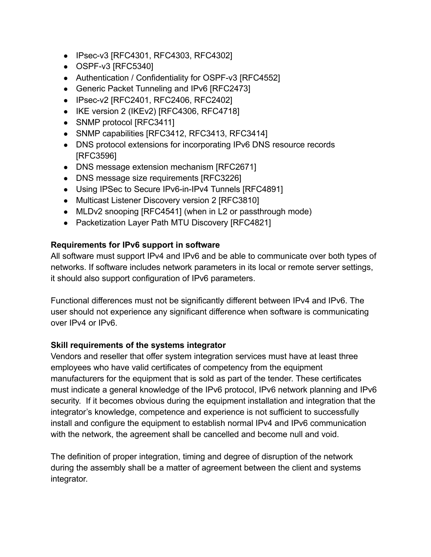- IPsec-v3 [RFC4301, RFC4303, RFC4302]
- OSPF-v3 [RFC5340]
- Authentication / Confidentiality for OSPF-v3 [RFC4552]
- Generic Packet Tunneling and IPv6 [RFC2473]
- IPsec-v2 [RFC2401, RFC2406, RFC2402]
- IKE version 2 (IKEv2) [RFC4306, RFC4718]
- SNMP protocol [RFC3411]
- SNMP capabilities [RFC3412, RFC3413, RFC3414]
- DNS protocol extensions for incorporating IPv6 DNS resource records [RFC3596]
- DNS message extension mechanism [RFC2671]
- DNS message size requirements [RFC3226]
- Using IPSec to Secure IPv6-in-IPv4 Tunnels [RFC4891]
- Multicast Listener Discovery version 2 [RFC3810]
- MLDv2 snooping [RFC4541] (when in L2 or passthrough mode)
- Packetization Layer Path MTU Discovery [RFC4821]

#### **Requirements for IPv6 support in software**

All software must support IPv4 and IPv6 and be able to communicate over both types of networks. If software includes network parameters in its local or remote server settings, it should also support configuration of IPv6 parameters.

Functional differences must not be significantly different between IPv4 and IPv6. The user should not experience any significant difference when software is communicating over IPv4 or IPv6.

#### **Skill requirements of the systems integrator**

Vendors and reseller that offer system integration services must have at least three employees who have valid certificates of competency from the equipment manufacturers for the equipment that is sold as part of the tender. These certificates must indicate a general knowledge of the IPv6 protocol, IPv6 network planning and IPv6 security. If it becomes obvious during the equipment installation and integration that the integrator's knowledge, competence and experience is not sufficient to successfully install and configure the equipment to establish normal IPv4 and IPv6 communication with the network, the agreement shall be cancelled and become null and void.

The definition of proper integration, timing and degree of disruption of the network during the assembly shall be a matter of agreement between the client and systems integrator.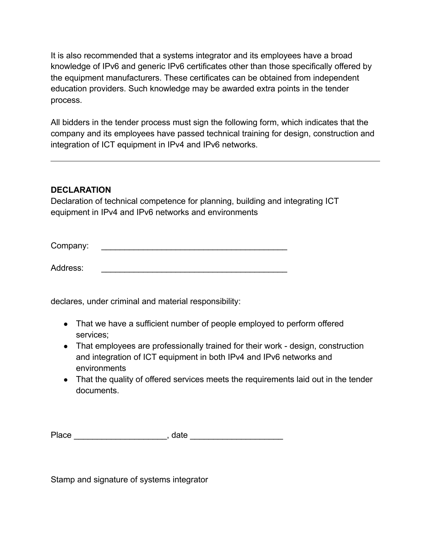It is also recommended that a systems integrator and its employees have a broad knowledge of IPv6 and generic IPv6 certificates other than those specifically offered by the equipment manufacturers. These certificates can be obtained from independent education providers. Such knowledge may be awarded extra points in the tender process.

All bidders in the tender process must sign the following form, which indicates that the company and its employees have passed technical training for design, construction and integration of ICT equipment in IPv4 and IPv6 networks.

### **DECLARATION**

Declaration of technical competence for planning, building and integrating ICT equipment in IPv4 and IPv6 networks and environments

Company:

Address: \_\_\_\_\_\_\_\_\_\_\_\_\_\_\_\_\_\_\_\_\_\_\_\_\_\_\_\_\_\_\_\_\_\_\_\_\_\_\_\_

declares, under criminal and material responsibility:

- That we have a sufficient number of people employed to perform offered services;
- That employees are professionally trained for their work design, construction and integration of ICT equipment in both IPv4 and IPv6 networks and environments
- That the quality of offered services meets the requirements laid out in the tender documents.

| Place | date |  |
|-------|------|--|
|       |      |  |

Stamp and signature of systems integrator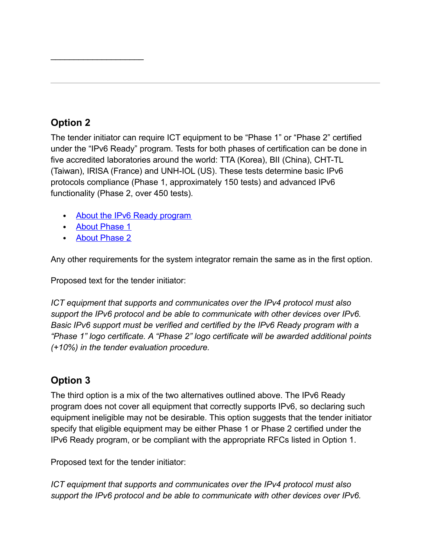# **Option 2**

The tender initiator can require ICT equipment to be "Phase 1" or "Phase 2" certified under the "IPv6 Ready" program. Tests for both phases of certification can be done in five accredited laboratories around the world: TTA (Korea), BII (China), CHT-TL (Taiwan), IRISA (France) and UNH-IOL (US). These tests determine basic IPv6 protocols compliance (Phase 1, approximately 150 tests) and advanced IPv6 functionality (Phase 2, over 450 tests).

- About the IPv6 Ready [program](http://www.ipv6ready.org/)
- About [Phase](http://ipv6ready.org/?page=phase-1-about) 1

 $\mathcal{L}=\mathcal{L}^{\mathcal{L}}$ 

• About [Phase](http://ipv6ready.org/?page=phase-2-about) 2

Any other requirements for the system integrator remain the same as in the first option.

Proposed text for the tender initiator:

*ICT equipment that supports and communicates over the IPv4 protocol must also support the IPv6 protocol and be able to communicate with other devices over IPv6. Basic IPv6 support must be verified and certified by the IPv6 Ready program with a "Phase 1" logo certificate. A "Phase 2" logo certificate will be awarded additional points (+10%) in the tender evaluation procedure.*

## **Option 3**

The third option is a mix of the two alternatives outlined above. The IPv6 Ready program does not cover all equipment that correctly supports IPv6, so declaring such equipment ineligible may not be desirable. This option suggests that the tender initiator specify that eligible equipment may be either Phase 1 or Phase 2 certified under the IPv6 Ready program, or be compliant with the appropriate RFCs listed in Option 1.

Proposed text for the tender initiator:

*ICT equipment that supports and communicates over the IPv4 protocol must also support the IPv6 protocol and be able to communicate with other devices over IPv6.*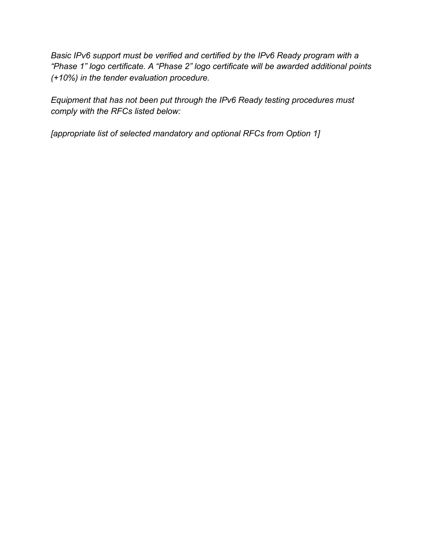*Basic IPv6 support must be verified and certified by the IPv6 Ready program with a "Phase 1" logo certificate. A "Phase 2" logo certificate will be awarded additional points (+10%) in the tender evaluation procedure.*

*Equipment that has not been put through the IPv6 Ready testing procedures must comply with the RFCs listed below:*

*[appropriate list of selected mandatory and optional RFCs from Option 1]*